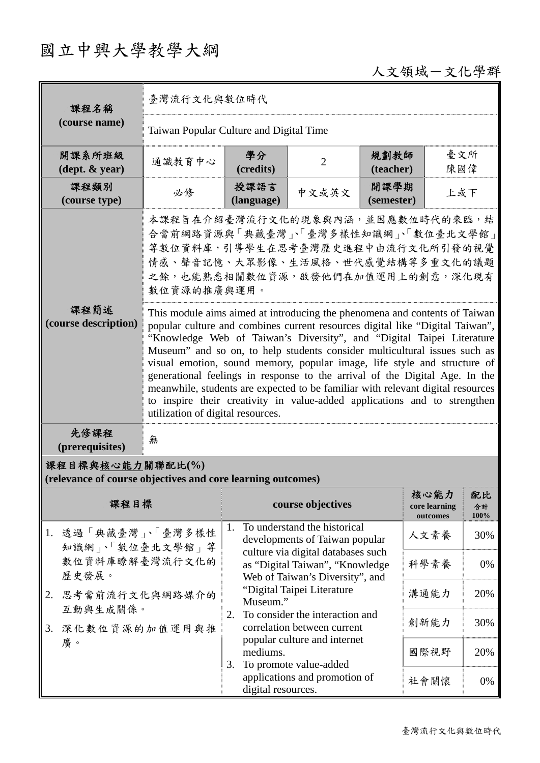## 國立中興大學教學大綱

## 人文領域-文化學群

| 課程名稱                                                                            | 臺灣流行文化與數位時代                                                                                                                                                                                                                                                                                                                                                                                                                                                                                                                                                                                                                                                                       |                                                                                          |                                                                       |                    |                                   |                  |  |
|---------------------------------------------------------------------------------|-----------------------------------------------------------------------------------------------------------------------------------------------------------------------------------------------------------------------------------------------------------------------------------------------------------------------------------------------------------------------------------------------------------------------------------------------------------------------------------------------------------------------------------------------------------------------------------------------------------------------------------------------------------------------------------|------------------------------------------------------------------------------------------|-----------------------------------------------------------------------|--------------------|-----------------------------------|------------------|--|
| (course name)                                                                   | Taiwan Popular Culture and Digital Time                                                                                                                                                                                                                                                                                                                                                                                                                                                                                                                                                                                                                                           |                                                                                          |                                                                       |                    |                                   |                  |  |
| 開課系所班級<br>$(\text{dept.} \& \text{ year})$                                      | 通識教育中心                                                                                                                                                                                                                                                                                                                                                                                                                                                                                                                                                                                                                                                                            | 學分<br>(credits)                                                                          | $\overline{2}$                                                        | 規劃教師<br>(teacher)  | 臺文所<br>陳國偉                        |                  |  |
| 課程類別<br>(course type)                                                           | 必修                                                                                                                                                                                                                                                                                                                                                                                                                                                                                                                                                                                                                                                                                | 授課語言<br>(language)                                                                       | 中文或英文                                                                 | 開課學期<br>(semester) | 上或下                               |                  |  |
|                                                                                 | 本課程旨在介紹臺灣流行文化的現象與內涵,並因應數位時代的來臨,結<br>合當前網路資源與「典藏臺灣」、「臺灣多樣性知識網」、「數位臺北文學館」<br>等數位資料庫,引導學生在思考臺灣歷史進程中由流行文化所引發的視覺<br>情感、聲音記憶、大眾影像、生活風格、世代感覺結構等多重文化的議題<br>之餘,也能熟悉相關數位資源,啟發他們在加值運用上的創意,深化現有<br>數位資源的推廣與運用。                                                                                                                                                                                                                                                                                                                                                                                                                                                                                |                                                                                          |                                                                       |                    |                                   |                  |  |
| 課程簡述<br>(course description)                                                    | This module aims aimed at introducing the phenomena and contents of Taiwan<br>popular culture and combines current resources digital like "Digital Taiwan",<br>"Knowledge Web of Taiwan's Diversity", and "Digital Taipei Literature<br>Museum" and so on, to help students consider multicultural issues such as<br>visual emotion, sound memory, popular image, life style and structure of<br>generational feelings in response to the arrival of the Digital Age. In the<br>meanwhile, students are expected to be familiar with relevant digital resources<br>to inspire their creativity in value-added applications and to strengthen<br>utilization of digital resources. |                                                                                          |                                                                       |                    |                                   |                  |  |
| 先修課程<br>(prerequisites)                                                         | 無                                                                                                                                                                                                                                                                                                                                                                                                                                                                                                                                                                                                                                                                                 |                                                                                          |                                                                       |                    |                                   |                  |  |
| 課程目標與核心能力關聯配比(%)<br>(relevance of course objectives and core learning outcomes) |                                                                                                                                                                                                                                                                                                                                                                                                                                                                                                                                                                                                                                                                                   |                                                                                          |                                                                       |                    |                                   |                  |  |
| 課程目標                                                                            |                                                                                                                                                                                                                                                                                                                                                                                                                                                                                                                                                                                                                                                                                   |                                                                                          | course objectives                                                     |                    | 核心能力<br>core learning<br>outcomes | 配比<br>合計<br>100% |  |
| 1. 透過「典藏臺灣」、「臺灣多樣性<br>知識網」、「數位臺北文學館」等                                           |                                                                                                                                                                                                                                                                                                                                                                                                                                                                                                                                                                                                                                                                                   | 1.                                                                                       | To understand the historical<br>developments of Taiwan popular        |                    | 人文素養                              | 30%              |  |
| 歷史發展。                                                                           | 數位資料庫瞭解臺灣流行文化的                                                                                                                                                                                                                                                                                                                                                                                                                                                                                                                                                                                                                                                                    |                                                                                          | culture via digital databases such<br>as "Digital Taiwan", "Knowledge |                    | 科學素養                              | 0%               |  |
| 思考當前流行文化與網路媒介的<br>2.                                                            |                                                                                                                                                                                                                                                                                                                                                                                                                                                                                                                                                                                                                                                                                   | Web of Taiwan's Diversity", and<br>"Digital Taipei Literature<br>溝通能力<br>20%<br>Museum." |                                                                       |                    |                                   |                  |  |
| 互動與生成關係。<br>深化數位資源的加值運用與推<br>3.                                                 |                                                                                                                                                                                                                                                                                                                                                                                                                                                                                                                                                                                                                                                                                   | To consider the interaction and<br>2.<br>correlation between current                     |                                                                       | 創新能力               | 30%                               |                  |  |
| 廣。                                                                              |                                                                                                                                                                                                                                                                                                                                                                                                                                                                                                                                                                                                                                                                                   | popular culture and internet<br>mediums.<br>To promote value-added                       |                                                                       |                    | 國際視野                              | 20%              |  |
|                                                                                 |                                                                                                                                                                                                                                                                                                                                                                                                                                                                                                                                                                                                                                                                                   | 3.<br>digital resources.                                                                 | applications and promotion of                                         |                    | 社會關懷                              | 0%               |  |